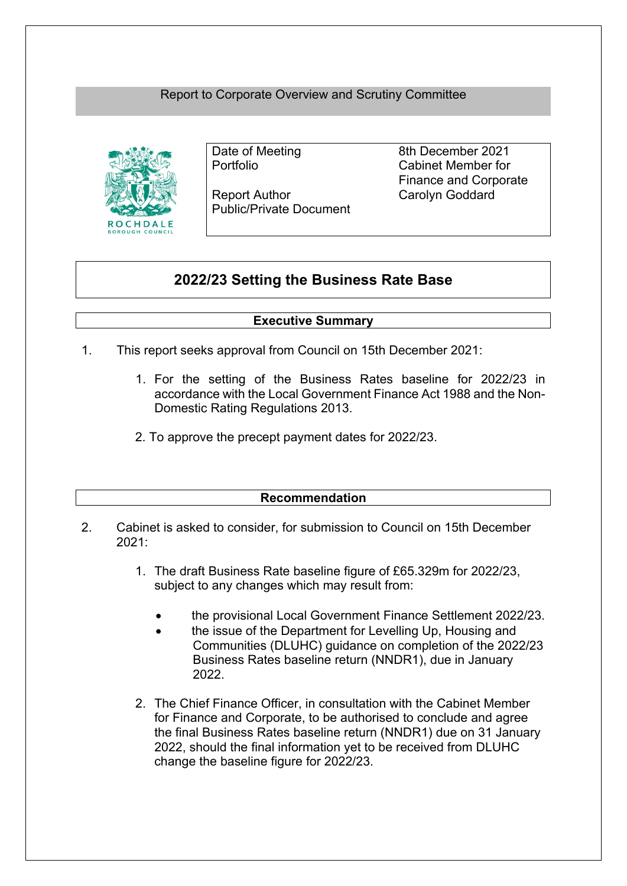# Report to Corporate Overview and Scrutiny Committee



Report Author Carolyn Goddard Public/Private Document

Date of Meeting 8th December 2021 Portfolio Cabinet Member for Finance and Corporate

# **2022/23 Setting the Business Rate Base**

# **Executive Summary**

- 1. This report seeks approval from Council on 15th December 2021:
	- 1. For the setting of the Business Rates baseline for 2022/23 in accordance with the Local Government Finance Act 1988 and the Non-Domestic Rating Regulations 2013.
	- 2. To approve the precept payment dates for 2022/23.

### **Recommendation**

- 2. Cabinet is asked to consider, for submission to Council on 15th December 2021:
	- 1. The draft Business Rate baseline figure of £65.329m for 2022/23, subject to any changes which may result from:
		- the provisional Local Government Finance Settlement 2022/23.
		- the issue of the Department for Levelling Up, Housing and Communities (DLUHC) guidance on completion of the 2022/23 Business Rates baseline return (NNDR1), due in January 2022.
	- 2. The Chief Finance Officer, in consultation with the Cabinet Member for Finance and Corporate, to be authorised to conclude and agree the final Business Rates baseline return (NNDR1) due on 31 January 2022, should the final information yet to be received from DLUHC change the baseline figure for 2022/23.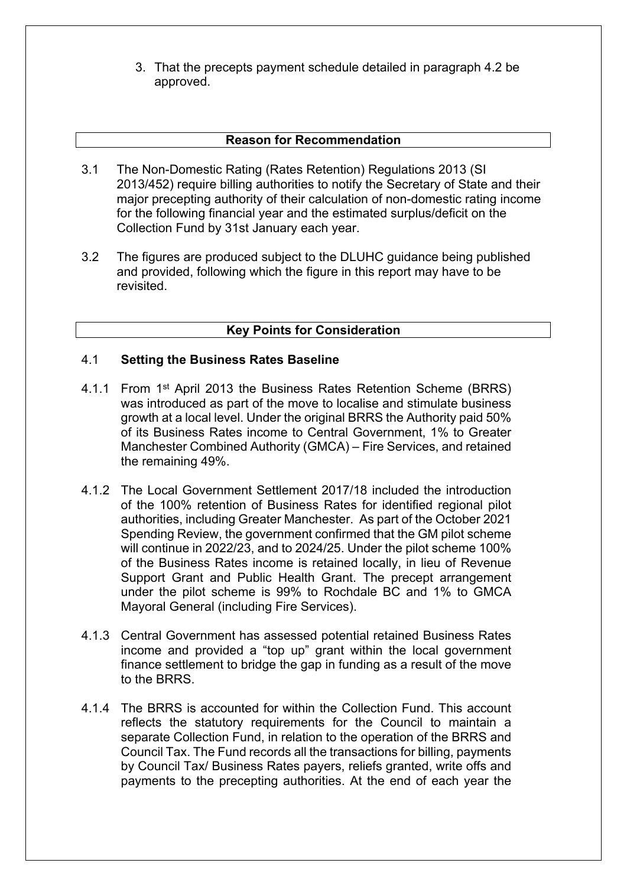3. That the precepts payment schedule detailed in paragraph 4.2 be approved.

### **Reason for Recommendation**

- 3.1 The Non-Domestic Rating (Rates Retention) Regulations 2013 (SI 2013/452) require billing authorities to notify the Secretary of State and their major precepting authority of their calculation of non-domestic rating income for the following financial year and the estimated surplus/deficit on the Collection Fund by 31st January each year.
- 3.2 The figures are produced subject to the DLUHC guidance being published and provided, following which the figure in this report may have to be revisited.

## **Key Points for Consideration**

#### 4.1 **Setting the Business Rates Baseline**

- 4.1.1 From 1<sup>st</sup> April 2013 the Business Rates Retention Scheme (BRRS) was introduced as part of the move to localise and stimulate business growth at a local level. Under the original BRRS the Authority paid 50% of its Business Rates income to Central Government, 1% to Greater Manchester Combined Authority (GMCA) – Fire Services, and retained the remaining 49%.
- 4.1.2 The Local Government Settlement 2017/18 included the introduction of the 100% retention of Business Rates for identified regional pilot authorities, including Greater Manchester. As part of the October 2021 Spending Review, the government confirmed that the GM pilot scheme will continue in 2022/23, and to 2024/25. Under the pilot scheme 100% of the Business Rates income is retained locally, in lieu of Revenue Support Grant and Public Health Grant. The precept arrangement under the pilot scheme is 99% to Rochdale BC and 1% to GMCA Mayoral General (including Fire Services).
- 4.1.3 Central Government has assessed potential retained Business Rates income and provided a "top up" grant within the local government finance settlement to bridge the gap in funding as a result of the move to the BRRS.
- 4.1.4 The BRRS is accounted for within the Collection Fund. This account reflects the statutory requirements for the Council to maintain a separate Collection Fund, in relation to the operation of the BRRS and Council Tax. The Fund records all the transactions for billing, payments by Council Tax/ Business Rates payers, reliefs granted, write offs and payments to the precepting authorities. At the end of each year the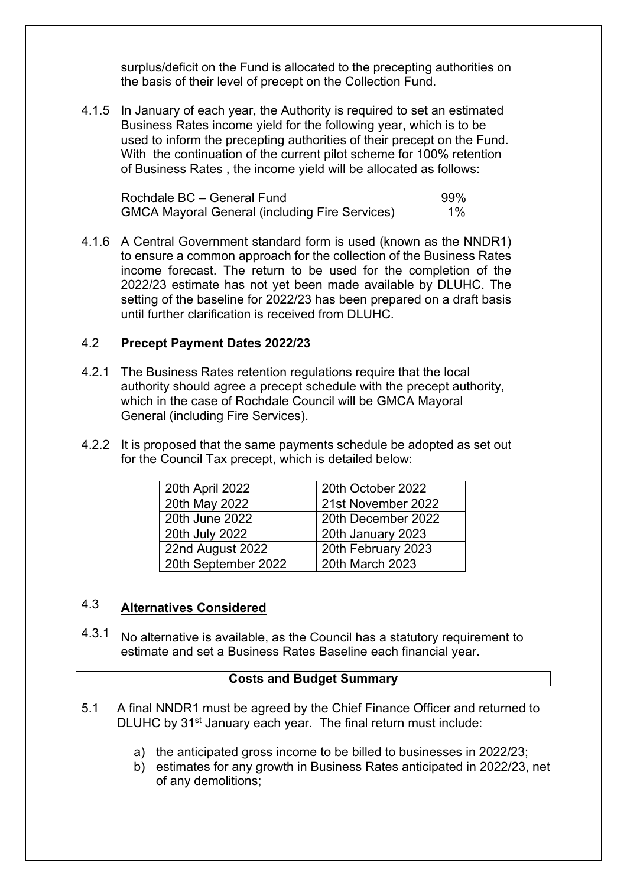surplus/deficit on the Fund is allocated to the precepting authorities on the basis of their level of precept on the Collection Fund.

4.1.5 In January of each year, the Authority is required to set an estimated Business Rates income yield for the following year, which is to be used to inform the precepting authorities of their precept on the Fund. With the continuation of the current pilot scheme for 100% retention of Business Rates , the income yield will be allocated as follows:

| Rochdale BC - General Fund                            | 99%   |
|-------------------------------------------------------|-------|
| <b>GMCA Mayoral General (including Fire Services)</b> | $1\%$ |

4.1.6 A Central Government standard form is used (known as the NNDR1) to ensure a common approach for the collection of the Business Rates income forecast. The return to be used for the completion of the 2022/23 estimate has not yet been made available by DLUHC. The setting of the baseline for 2022/23 has been prepared on a draft basis until further clarification is received from DLUHC.

#### 4.2 **Precept Payment Dates 2022/23**

- 4.2.1 The Business Rates retention regulations require that the local authority should agree a precept schedule with the precept authority, which in the case of Rochdale Council will be GMCA Mayoral General (including Fire Services).
- 4.2.2 It is proposed that the same payments schedule be adopted as set out for the Council Tax precept, which is detailed below:

| 20th April 2022     | 20th October 2022  |
|---------------------|--------------------|
| 20th May 2022       | 21st November 2022 |
| 20th June 2022      | 20th December 2022 |
| 20th July 2022      | 20th January 2023  |
| 22nd August 2022    | 20th February 2023 |
| 20th September 2022 | 20th March 2023    |

#### 4.3 **Alternatives Considered**

4.3.1 No alternative is available, as the Council has a statutory requirement to estimate and set a Business Rates Baseline each financial year.

### **Costs and Budget Summary**

- 5.1 A final NNDR1 must be agreed by the Chief Finance Officer and returned to DLUHC by 31<sup>st</sup> January each year. The final return must include:
	- a) the anticipated gross income to be billed to businesses in 2022/23;
	- b) estimates for any growth in Business Rates anticipated in 2022/23, net of any demolitions;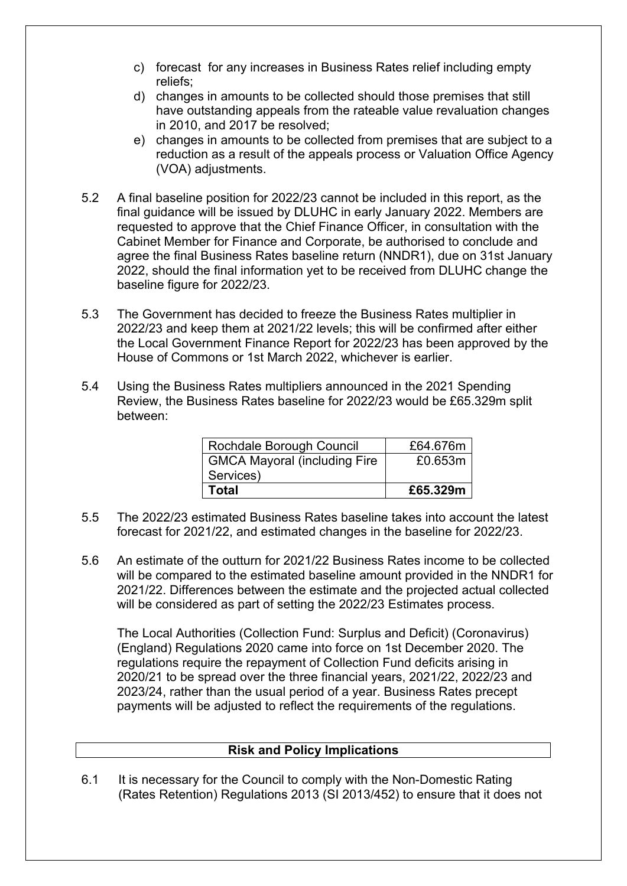- c) forecast for any increases in Business Rates relief including empty reliefs;
- d) changes in amounts to be collected should those premises that still have outstanding appeals from the rateable value revaluation changes in 2010, and 2017 be resolved;
- e) changes in amounts to be collected from premises that are subject to a reduction as a result of the appeals process or Valuation Office Agency (VOA) adjustments.
- 5.2 A final baseline position for 2022/23 cannot be included in this report, as the final guidance will be issued by DLUHC in early January 2022. Members are requested to approve that the Chief Finance Officer, in consultation with the Cabinet Member for Finance and Corporate, be authorised to conclude and agree the final Business Rates baseline return (NNDR1), due on 31st January 2022, should the final information yet to be received from DLUHC change the baseline figure for 2022/23.
- 5.3 The Government has decided to freeze the Business Rates multiplier in 2022/23 and keep them at 2021/22 levels; this will be confirmed after either the Local Government Finance Report for 2022/23 has been approved by the House of Commons or 1st March 2022, whichever is earlier.
- 5.4 Using the Business Rates multipliers announced in the 2021 Spending Review, the Business Rates baseline for 2022/23 would be £65.329m split between:

| Rochdale Borough Council            | £64.676m |
|-------------------------------------|----------|
| <b>GMCA Mayoral (including Fire</b> | £0.653m  |
| Services)                           |          |
| Total                               | £65.329m |

- 5.5 The 2022/23 estimated Business Rates baseline takes into account the latest forecast for 2021/22, and estimated changes in the baseline for 2022/23.
- 5.6 An estimate of the outturn for 2021/22 Business Rates income to be collected will be compared to the estimated baseline amount provided in the NNDR1 for 2021/22. Differences between the estimate and the projected actual collected will be considered as part of setting the 2022/23 Estimates process.

The Local Authorities (Collection Fund: Surplus and Deficit) (Coronavirus) (England) Regulations 2020 came into force on 1st December 2020. The regulations require the repayment of Collection Fund deficits arising in 2020/21 to be spread over the three financial years, 2021/22, 2022/23 and 2023/24, rather than the usual period of a year. Business Rates precept payments will be adjusted to reflect the requirements of the regulations.

## **Risk and Policy Implications**

6.1 It is necessary for the Council to comply with the Non-Domestic Rating (Rates Retention) Regulations 2013 (SI 2013/452) to ensure that it does not